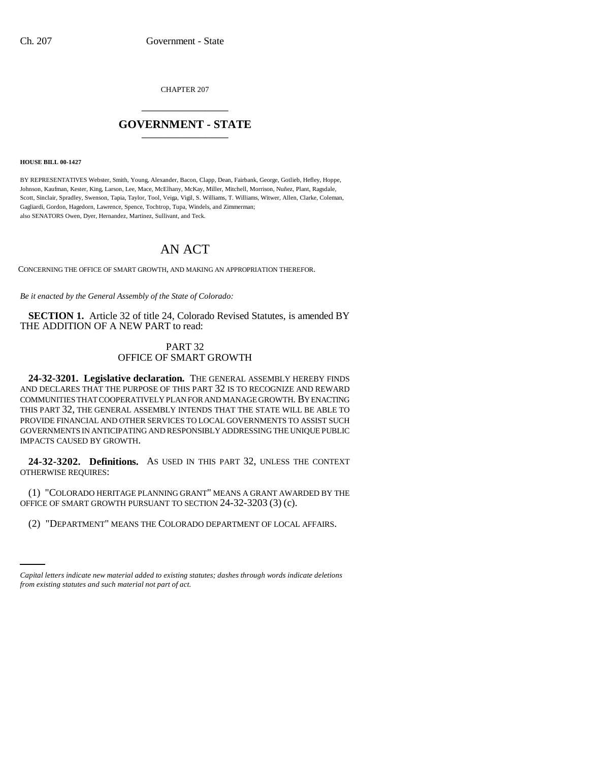CHAPTER 207 \_\_\_\_\_\_\_\_\_\_\_\_\_\_\_

## **GOVERNMENT - STATE** \_\_\_\_\_\_\_\_\_\_\_\_\_\_\_

**HOUSE BILL 00-1427** 

BY REPRESENTATIVES Webster, Smith, Young, Alexander, Bacon, Clapp, Dean, Fairbank, George, Gotlieb, Hefley, Hoppe, Johnson, Kaufman, Kester, King, Larson, Lee, Mace, McElhany, McKay, Miller, Mitchell, Morrison, Nuñez, Plant, Ragsdale, Scott, Sinclair, Spradley, Swenson, Tapia, Taylor, Tool, Veiga, Vigil, S. Williams, T. Williams, Witwer, Allen, Clarke, Coleman, Gagliardi, Gordon, Hagedorn, Lawrence, Spence, Tochtrop, Tupa, Windels, and Zimmerman; also SENATORS Owen, Dyer, Hernandez, Martinez, Sullivant, and Teck.

## AN ACT

CONCERNING THE OFFICE OF SMART GROWTH, AND MAKING AN APPROPRIATION THEREFOR.

*Be it enacted by the General Assembly of the State of Colorado:*

**SECTION 1.** Article 32 of title 24, Colorado Revised Statutes, is amended BY THE ADDITION OF A NEW PART to read:

## PART 32 OFFICE OF SMART GROWTH

**24-32-3201. Legislative declaration.** THE GENERAL ASSEMBLY HEREBY FINDS AND DECLARES THAT THE PURPOSE OF THIS PART 32 IS TO RECOGNIZE AND REWARD COMMUNITIES THAT COOPERATIVELY PLAN FOR AND MANAGE GROWTH. BY ENACTING THIS PART 32, THE GENERAL ASSEMBLY INTENDS THAT THE STATE WILL BE ABLE TO PROVIDE FINANCIAL AND OTHER SERVICES TO LOCAL GOVERNMENTS TO ASSIST SUCH GOVERNMENTS IN ANTICIPATING AND RESPONSIBLY ADDRESSING THE UNIQUE PUBLIC IMPACTS CAUSED BY GROWTH.

**24-32-3202. Definitions.** AS USED IN THIS PART 32, UNLESS THE CONTEXT OTHERWISE REQUIRES:

(1) "COLORADO HERITAGE PLANNING GRANT" MEANS A GRANT AWARDED BY THE OFFICE OF SMART GROWTH PURSUANT TO SECTION 24-32-3203 (3) (c).

in<br>Salah (2) "DEPARTMENT" MEANS THE COLORADO DEPARTMENT OF LOCAL AFFAIRS.

*Capital letters indicate new material added to existing statutes; dashes through words indicate deletions from existing statutes and such material not part of act.*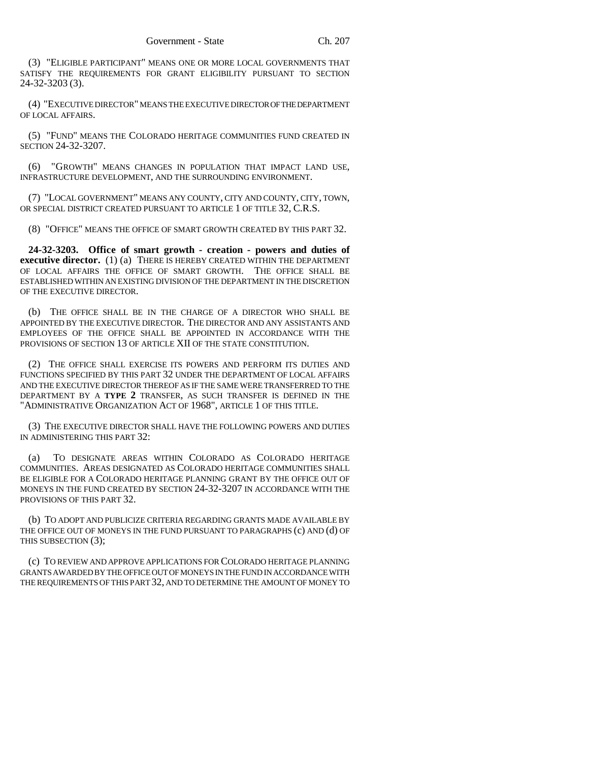(3) "ELIGIBLE PARTICIPANT" MEANS ONE OR MORE LOCAL GOVERNMENTS THAT SATISFY THE REQUIREMENTS FOR GRANT ELIGIBILITY PURSUANT TO SECTION 24-32-3203 (3).

(4) "EXECUTIVE DIRECTOR" MEANS THE EXECUTIVE DIRECTOR OF THE DEPARTMENT OF LOCAL AFFAIRS.

(5) "FUND" MEANS THE COLORADO HERITAGE COMMUNITIES FUND CREATED IN SECTION 24-32-3207.

(6) "GROWTH" MEANS CHANGES IN POPULATION THAT IMPACT LAND USE, INFRASTRUCTURE DEVELOPMENT, AND THE SURROUNDING ENVIRONMENT.

(7) "LOCAL GOVERNMENT" MEANS ANY COUNTY, CITY AND COUNTY, CITY, TOWN, OR SPECIAL DISTRICT CREATED PURSUANT TO ARTICLE 1 OF TITLE 32, C.R.S.

(8) "OFFICE" MEANS THE OFFICE OF SMART GROWTH CREATED BY THIS PART 32.

**24-32-3203. Office of smart growth - creation - powers and duties of executive director.** (1) (a) THERE IS HEREBY CREATED WITHIN THE DEPARTMENT OF LOCAL AFFAIRS THE OFFICE OF SMART GROWTH. THE OFFICE SHALL BE ESTABLISHED WITHIN AN EXISTING DIVISION OF THE DEPARTMENT IN THE DISCRETION OF THE EXECUTIVE DIRECTOR.

(b) THE OFFICE SHALL BE IN THE CHARGE OF A DIRECTOR WHO SHALL BE APPOINTED BY THE EXECUTIVE DIRECTOR. THE DIRECTOR AND ANY ASSISTANTS AND EMPLOYEES OF THE OFFICE SHALL BE APPOINTED IN ACCORDANCE WITH THE PROVISIONS OF SECTION 13 OF ARTICLE XII OF THE STATE CONSTITUTION.

(2) THE OFFICE SHALL EXERCISE ITS POWERS AND PERFORM ITS DUTIES AND FUNCTIONS SPECIFIED BY THIS PART 32 UNDER THE DEPARTMENT OF LOCAL AFFAIRS AND THE EXECUTIVE DIRECTOR THEREOF AS IF THE SAME WERE TRANSFERRED TO THE DEPARTMENT BY A **TYPE 2** TRANSFER, AS SUCH TRANSFER IS DEFINED IN THE "ADMINISTRATIVE ORGANIZATION ACT OF 1968", ARTICLE 1 OF THIS TITLE.

(3) THE EXECUTIVE DIRECTOR SHALL HAVE THE FOLLOWING POWERS AND DUTIES IN ADMINISTERING THIS PART 32:

(a) TO DESIGNATE AREAS WITHIN COLORADO AS COLORADO HERITAGE COMMUNITIES. AREAS DESIGNATED AS COLORADO HERITAGE COMMUNITIES SHALL BE ELIGIBLE FOR A COLORADO HERITAGE PLANNING GRANT BY THE OFFICE OUT OF MONEYS IN THE FUND CREATED BY SECTION 24-32-3207 IN ACCORDANCE WITH THE PROVISIONS OF THIS PART 32.

(b) TO ADOPT AND PUBLICIZE CRITERIA REGARDING GRANTS MADE AVAILABLE BY THE OFFICE OUT OF MONEYS IN THE FUND PURSUANT TO PARAGRAPHS (c) AND (d) OF THIS SUBSECTION (3);

(c) TO REVIEW AND APPROVE APPLICATIONS FOR COLORADO HERITAGE PLANNING GRANTS AWARDED BY THE OFFICE OUT OF MONEYS IN THE FUND IN ACCORDANCE WITH THE REQUIREMENTS OF THIS PART 32, AND TO DETERMINE THE AMOUNT OF MONEY TO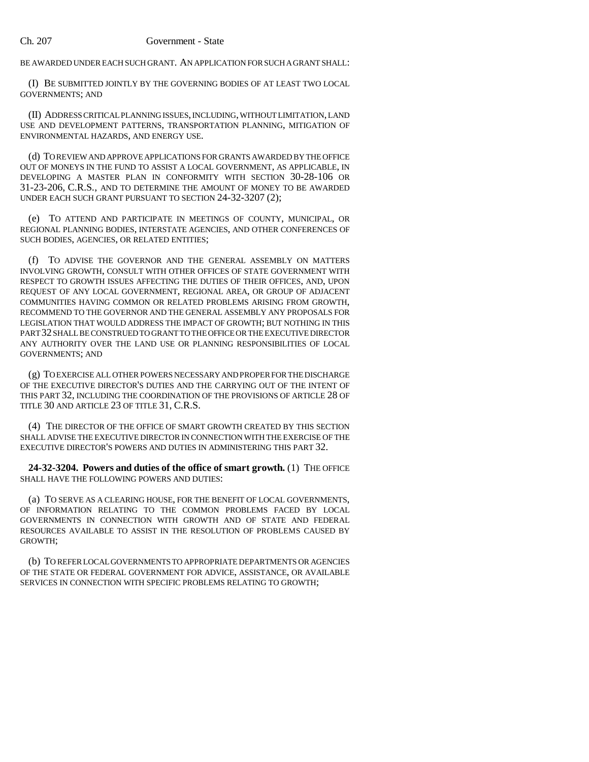BE AWARDED UNDER EACH SUCH GRANT. AN APPLICATION FOR SUCH A GRANT SHALL:

(I) BE SUBMITTED JOINTLY BY THE GOVERNING BODIES OF AT LEAST TWO LOCAL GOVERNMENTS; AND

(II) ADDRESS CRITICAL PLANNING ISSUES, INCLUDING, WITHOUT LIMITATION, LAND USE AND DEVELOPMENT PATTERNS, TRANSPORTATION PLANNING, MITIGATION OF ENVIRONMENTAL HAZARDS, AND ENERGY USE.

(d) TO REVIEW AND APPROVE APPLICATIONS FOR GRANTS AWARDED BY THE OFFICE OUT OF MONEYS IN THE FUND TO ASSIST A LOCAL GOVERNMENT, AS APPLICABLE, IN DEVELOPING A MASTER PLAN IN CONFORMITY WITH SECTION 30-28-106 OR 31-23-206, C.R.S., AND TO DETERMINE THE AMOUNT OF MONEY TO BE AWARDED UNDER EACH SUCH GRANT PURSUANT TO SECTION 24-32-3207 (2);

(e) TO ATTEND AND PARTICIPATE IN MEETINGS OF COUNTY, MUNICIPAL, OR REGIONAL PLANNING BODIES, INTERSTATE AGENCIES, AND OTHER CONFERENCES OF SUCH BODIES, AGENCIES, OR RELATED ENTITIES;

(f) TO ADVISE THE GOVERNOR AND THE GENERAL ASSEMBLY ON MATTERS INVOLVING GROWTH, CONSULT WITH OTHER OFFICES OF STATE GOVERNMENT WITH RESPECT TO GROWTH ISSUES AFFECTING THE DUTIES OF THEIR OFFICES, AND, UPON REQUEST OF ANY LOCAL GOVERNMENT, REGIONAL AREA, OR GROUP OF ADJACENT COMMUNITIES HAVING COMMON OR RELATED PROBLEMS ARISING FROM GROWTH, RECOMMEND TO THE GOVERNOR AND THE GENERAL ASSEMBLY ANY PROPOSALS FOR LEGISLATION THAT WOULD ADDRESS THE IMPACT OF GROWTH; BUT NOTHING IN THIS PART 32 SHALL BE CONSTRUED TO GRANT TO THE OFFICE OR THE EXECUTIVE DIRECTOR ANY AUTHORITY OVER THE LAND USE OR PLANNING RESPONSIBILITIES OF LOCAL GOVERNMENTS; AND

(g) TO EXERCISE ALL OTHER POWERS NECESSARY AND PROPER FOR THE DISCHARGE OF THE EXECUTIVE DIRECTOR'S DUTIES AND THE CARRYING OUT OF THE INTENT OF THIS PART 32, INCLUDING THE COORDINATION OF THE PROVISIONS OF ARTICLE 28 OF TITLE 30 AND ARTICLE 23 OF TITLE 31, C.R.S.

(4) THE DIRECTOR OF THE OFFICE OF SMART GROWTH CREATED BY THIS SECTION SHALL ADVISE THE EXECUTIVE DIRECTOR IN CONNECTION WITH THE EXERCISE OF THE EXECUTIVE DIRECTOR'S POWERS AND DUTIES IN ADMINISTERING THIS PART 32.

**24-32-3204. Powers and duties of the office of smart growth.** (1) THE OFFICE SHALL HAVE THE FOLLOWING POWERS AND DUTIES:

(a) TO SERVE AS A CLEARING HOUSE, FOR THE BENEFIT OF LOCAL GOVERNMENTS, OF INFORMATION RELATING TO THE COMMON PROBLEMS FACED BY LOCAL GOVERNMENTS IN CONNECTION WITH GROWTH AND OF STATE AND FEDERAL RESOURCES AVAILABLE TO ASSIST IN THE RESOLUTION OF PROBLEMS CAUSED BY GROWTH;

(b) TO REFER LOCAL GOVERNMENTS TO APPROPRIATE DEPARTMENTS OR AGENCIES OF THE STATE OR FEDERAL GOVERNMENT FOR ADVICE, ASSISTANCE, OR AVAILABLE SERVICES IN CONNECTION WITH SPECIFIC PROBLEMS RELATING TO GROWTH;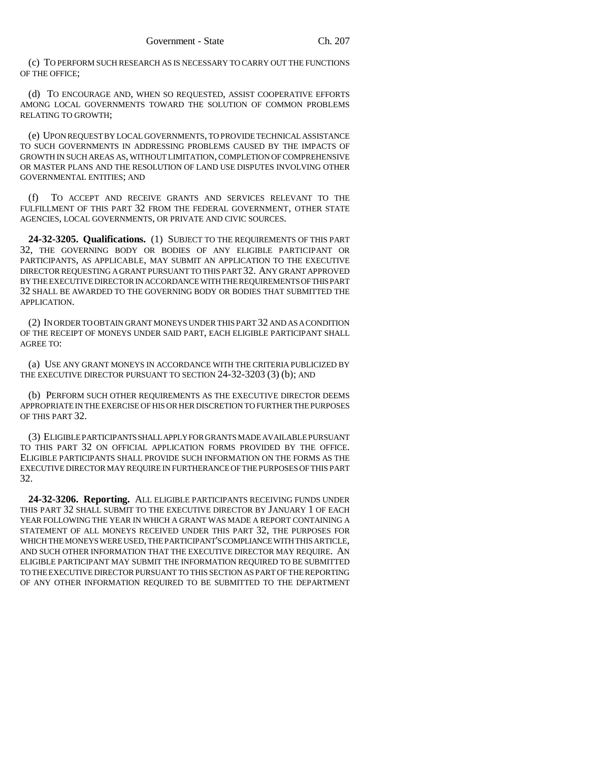(c) TO PERFORM SUCH RESEARCH AS IS NECESSARY TO CARRY OUT THE FUNCTIONS OF THE OFFICE;

(d) TO ENCOURAGE AND, WHEN SO REQUESTED, ASSIST COOPERATIVE EFFORTS AMONG LOCAL GOVERNMENTS TOWARD THE SOLUTION OF COMMON PROBLEMS RELATING TO GROWTH;

(e) UPON REQUEST BY LOCAL GOVERNMENTS, TO PROVIDE TECHNICAL ASSISTANCE TO SUCH GOVERNMENTS IN ADDRESSING PROBLEMS CAUSED BY THE IMPACTS OF GROWTH IN SUCH AREAS AS, WITHOUT LIMITATION, COMPLETION OF COMPREHENSIVE OR MASTER PLANS AND THE RESOLUTION OF LAND USE DISPUTES INVOLVING OTHER GOVERNMENTAL ENTITIES; AND

(f) TO ACCEPT AND RECEIVE GRANTS AND SERVICES RELEVANT TO THE FULFILLMENT OF THIS PART 32 FROM THE FEDERAL GOVERNMENT, OTHER STATE AGENCIES, LOCAL GOVERNMENTS, OR PRIVATE AND CIVIC SOURCES.

**24-32-3205. Qualifications.** (1) SUBJECT TO THE REQUIREMENTS OF THIS PART 32, THE GOVERNING BODY OR BODIES OF ANY ELIGIBLE PARTICIPANT OR PARTICIPANTS, AS APPLICABLE, MAY SUBMIT AN APPLICATION TO THE EXECUTIVE DIRECTOR REQUESTING A GRANT PURSUANT TO THIS PART 32. ANY GRANT APPROVED BY THE EXECUTIVE DIRECTOR IN ACCORDANCE WITH THE REQUIREMENTS OF THIS PART 32 SHALL BE AWARDED TO THE GOVERNING BODY OR BODIES THAT SUBMITTED THE APPLICATION.

(2) IN ORDER TO OBTAIN GRANT MONEYS UNDER THIS PART 32 AND AS A CONDITION OF THE RECEIPT OF MONEYS UNDER SAID PART, EACH ELIGIBLE PARTICIPANT SHALL AGREE TO:

(a) USE ANY GRANT MONEYS IN ACCORDANCE WITH THE CRITERIA PUBLICIZED BY THE EXECUTIVE DIRECTOR PURSUANT TO SECTION 24-32-3203 (3) (b); AND

(b) PERFORM SUCH OTHER REQUIREMENTS AS THE EXECUTIVE DIRECTOR DEEMS APPROPRIATE IN THE EXERCISE OF HIS OR HER DISCRETION TO FURTHER THE PURPOSES OF THIS PART 32.

(3) ELIGIBLE PARTICIPANTS SHALL APPLY FOR GRANTS MADE AVAILABLE PURSUANT TO THIS PART 32 ON OFFICIAL APPLICATION FORMS PROVIDED BY THE OFFICE. ELIGIBLE PARTICIPANTS SHALL PROVIDE SUCH INFORMATION ON THE FORMS AS THE EXECUTIVE DIRECTOR MAY REQUIRE IN FURTHERANCE OF THE PURPOSES OF THIS PART 32.

**24-32-3206. Reporting.** ALL ELIGIBLE PARTICIPANTS RECEIVING FUNDS UNDER THIS PART 32 SHALL SUBMIT TO THE EXECUTIVE DIRECTOR BY JANUARY 1 OF EACH YEAR FOLLOWING THE YEAR IN WHICH A GRANT WAS MADE A REPORT CONTAINING A STATEMENT OF ALL MONEYS RECEIVED UNDER THIS PART 32, THE PURPOSES FOR WHICH THE MONEYS WERE USED, THE PARTICIPANT'S COMPLIANCE WITH THIS ARTICLE, AND SUCH OTHER INFORMATION THAT THE EXECUTIVE DIRECTOR MAY REQUIRE. AN ELIGIBLE PARTICIPANT MAY SUBMIT THE INFORMATION REQUIRED TO BE SUBMITTED TO THE EXECUTIVE DIRECTOR PURSUANT TO THIS SECTION AS PART OF THE REPORTING OF ANY OTHER INFORMATION REQUIRED TO BE SUBMITTED TO THE DEPARTMENT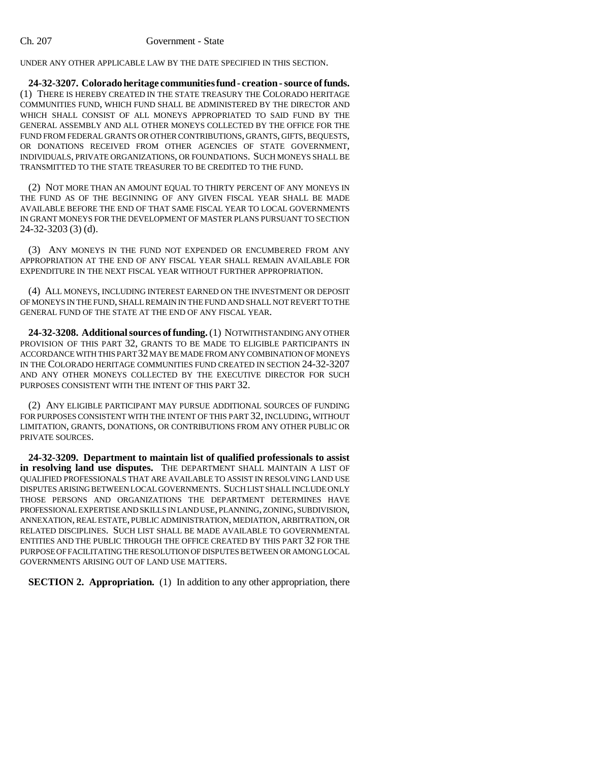## Ch. 207 Government - State

UNDER ANY OTHER APPLICABLE LAW BY THE DATE SPECIFIED IN THIS SECTION.

**24-32-3207. Colorado heritage communities fund - creation - source of funds.** (1) THERE IS HEREBY CREATED IN THE STATE TREASURY THE COLORADO HERITAGE COMMUNITIES FUND, WHICH FUND SHALL BE ADMINISTERED BY THE DIRECTOR AND WHICH SHALL CONSIST OF ALL MONEYS APPROPRIATED TO SAID FUND BY THE GENERAL ASSEMBLY AND ALL OTHER MONEYS COLLECTED BY THE OFFICE FOR THE FUND FROM FEDERAL GRANTS OR OTHER CONTRIBUTIONS, GRANTS, GIFTS, BEQUESTS, OR DONATIONS RECEIVED FROM OTHER AGENCIES OF STATE GOVERNMENT, INDIVIDUALS, PRIVATE ORGANIZATIONS, OR FOUNDATIONS. SUCH MONEYS SHALL BE TRANSMITTED TO THE STATE TREASURER TO BE CREDITED TO THE FUND.

(2) NOT MORE THAN AN AMOUNT EQUAL TO THIRTY PERCENT OF ANY MONEYS IN THE FUND AS OF THE BEGINNING OF ANY GIVEN FISCAL YEAR SHALL BE MADE AVAILABLE BEFORE THE END OF THAT SAME FISCAL YEAR TO LOCAL GOVERNMENTS IN GRANT MONEYS FOR THE DEVELOPMENT OF MASTER PLANS PURSUANT TO SECTION 24-32-3203 (3) (d).

(3) ANY MONEYS IN THE FUND NOT EXPENDED OR ENCUMBERED FROM ANY APPROPRIATION AT THE END OF ANY FISCAL YEAR SHALL REMAIN AVAILABLE FOR EXPENDITURE IN THE NEXT FISCAL YEAR WITHOUT FURTHER APPROPRIATION.

(4) ALL MONEYS, INCLUDING INTEREST EARNED ON THE INVESTMENT OR DEPOSIT OF MONEYS IN THE FUND, SHALL REMAIN IN THE FUND AND SHALL NOT REVERT TO THE GENERAL FUND OF THE STATE AT THE END OF ANY FISCAL YEAR.

**24-32-3208. Additional sources of funding.** (1) NOTWITHSTANDING ANY OTHER PROVISION OF THIS PART 32, GRANTS TO BE MADE TO ELIGIBLE PARTICIPANTS IN ACCORDANCE WITH THIS PART 32 MAY BE MADE FROM ANY COMBINATION OF MONEYS IN THE COLORADO HERITAGE COMMUNITIES FUND CREATED IN SECTION 24-32-3207 AND ANY OTHER MONEYS COLLECTED BY THE EXECUTIVE DIRECTOR FOR SUCH PURPOSES CONSISTENT WITH THE INTENT OF THIS PART 32.

(2) ANY ELIGIBLE PARTICIPANT MAY PURSUE ADDITIONAL SOURCES OF FUNDING FOR PURPOSES CONSISTENT WITH THE INTENT OF THIS PART 32, INCLUDING, WITHOUT LIMITATION, GRANTS, DONATIONS, OR CONTRIBUTIONS FROM ANY OTHER PUBLIC OR PRIVATE SOURCES.

**24-32-3209. Department to maintain list of qualified professionals to assist in resolving land use disputes.** THE DEPARTMENT SHALL MAINTAIN A LIST OF QUALIFIED PROFESSIONALS THAT ARE AVAILABLE TO ASSIST IN RESOLVING LAND USE DISPUTES ARISING BETWEEN LOCAL GOVERNMENTS. SUCH LIST SHALL INCLUDE ONLY THOSE PERSONS AND ORGANIZATIONS THE DEPARTMENT DETERMINES HAVE PROFESSIONAL EXPERTISE AND SKILLS IN LAND USE, PLANNING, ZONING, SUBDIVISION, ANNEXATION, REAL ESTATE, PUBLIC ADMINISTRATION, MEDIATION, ARBITRATION, OR RELATED DISCIPLINES. SUCH LIST SHALL BE MADE AVAILABLE TO GOVERNMENTAL ENTITIES AND THE PUBLIC THROUGH THE OFFICE CREATED BY THIS PART 32 FOR THE PURPOSE OF FACILITATING THE RESOLUTION OF DISPUTES BETWEEN OR AMONG LOCAL GOVERNMENTS ARISING OUT OF LAND USE MATTERS.

**SECTION 2. Appropriation.** (1) In addition to any other appropriation, there